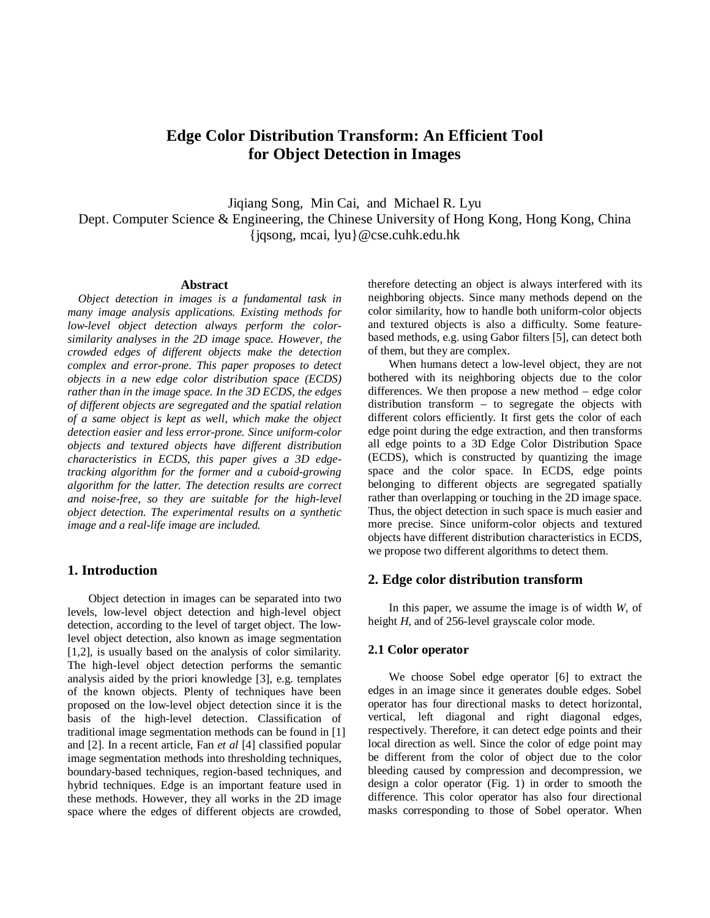# **Edge Color Distribution Transform: An Efficient Tool for Object Detection in Images**

Jiqiang Song, Min Cai, and Michael R. Lyu Dept. Computer Science & Engineering, the Chinese University of Hong Kong, Hong Kong, China {jqsong, mcai, lyu}@cse.cuhk.edu.hk

#### **Abstract**

*Object detection in images is a fundamental task in many image analysis applications. Existing methods for low-level object detection always perform the colorsimilarity analyses in the 2D image space. However, the crowded edges of different objects make the detection complex and error-prone. This paper proposes to detect objects in a new edge color distribution space (ECDS) rather than in the image space. In the 3D ECDS, the edges of different objects are segregated and the spatial relation of a same object is kept as well, which make the object detection easier and less error-prone. Since uniform-color objects and textured objects have different distribution characteristics in ECDS, this paper gives a 3D edgetracking algorithm for the former and a cuboid-growing algorithm for the latter. The detection results are correct and noise-free, so they are suitable for the high-level object detection. The experimental results on a synthetic image and a real-life image are included.*

### **1. Introduction**

Object detection in images can be separated into two levels, low-level object detection and high-level object detection, according to the level of target object. The lowlevel object detection, also known as image segmentation [1,2], is usually based on the analysis of color similarity. The high-level object detection performs the semantic analysis aided by the priori knowledge [3], e.g. templates of the known objects. Plenty of techniques have been proposed on the low-level object detection since it is the basis of the high-level detection. Classification of traditional image segmentation methods can be found in [1] and [2]. In a recent article, Fan *et al* [4] classified popular image segmentation methods into thresholding techniques, boundary-based techniques, region-based techniques, and hybrid techniques. Edge is an important feature used in these methods. However, they all works in the 2D image space where the edges of different objects are crowded,

therefore detecting an object is always interfered with its neighboring objects. Since many methods depend on the color similarity, how to handle both uniform-color objects and textured objects is also a difficulty. Some featurebased methods, e.g. using Gabor filters [5], can detect both of them, but they are complex.

When humans detect a low-level object, they are not bothered with its neighboring objects due to the color differences. We then propose a new method – edge color distribution transform – to segregate the objects with different colors efficiently. It first gets the color of each edge point during the edge extraction, and then transforms all edge points to a 3D Edge Color Distribution Space (ECDS), which is constructed by quantizing the image space and the color space. In ECDS, edge points belonging to different objects are segregated spatially rather than overlapping or touching in the 2D image space. Thus, the object detection in such space is much easier and more precise. Since uniform-color objects and textured objects have different distribution characteristics in ECDS, we propose two different algorithms to detect them.

### **2. Edge color distribution transform**

In this paper, we assume the image is of width *W*, of height *H*, and of 256-level grayscale color mode.

### **2.1 Color operator**

We choose Sobel edge operator [6] to extract the edges in an image since it generates double edges. Sobel operator has four directional masks to detect horizontal, vertical, left diagonal and right diagonal edges, respectively. Therefore, it can detect edge points and their local direction as well. Since the color of edge point may be different from the color of object due to the color bleeding caused by compression and decompression, we design a color operator (Fig. 1) in order to smooth the difference. This color operator has also four directional masks corresponding to those of Sobel operator. When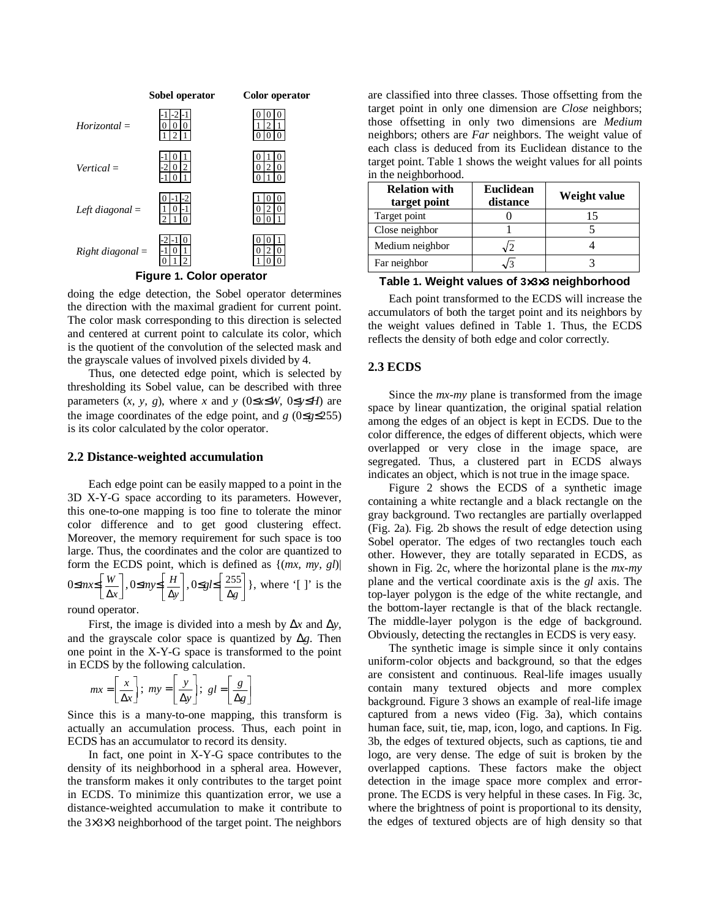

**Figure 1. Color operator**

doing the edge detection, the Sobel operator determines the direction with the maximal gradient for current point. The color mask corresponding to this direction is selected and centered at current point to calculate its color, which is the quotient of the convolution of the selected mask and the grayscale values of involved pixels divided by 4.

Thus, one detected edge point, which is selected by thresholding its Sobel value, can be described with three parameters  $(x, y, g)$ , where *x* and  $y$  (0≤*x*≤*W*, 0≤*y*≤*H*) are the image coordinates of the edge point, and  $g(0 \leq g \leq 255)$ is its color calculated by the color operator.

#### **2.2 Distance-weighted accumulation**

Each edge point can be easily mapped to a point in the 3D X-Y-G space according to its parameters. However, this one-to-one mapping is too fine to tolerate the minor color difference and to get good clustering effect. Moreover, the memory requirement for such space is too large. Thus, the coordinates and the color are quantized to form the ECDS point, which is defined as {(*mx, my, gl*)| 0≤*mx*≤  $\left\lfloor \frac{W}{\Delta x} \right\rfloor$ , 0≤*my*≤ - round operator.  $\left[\frac{1}{\Delta y}\right]$  ∆*y <sup>H</sup> ,* 0≤*gl*≤  $\left[\frac{255}{\Delta g}\right]$  $\frac{25}{\Delta g}$  $\frac{255}{ }$ , where '[ ]' is the

First, the image is divided into a mesh by ∆*x* and ∆*y*, and the grayscale color space is quantized by ∆*g*. Then one point in the X-Y-G space is transformed to the point in ECDS by the following calculation.

$$
mx = \left[\frac{x}{\Delta x}\right]; \ my = \left[\frac{y}{\Delta y}\right]; \ gl = \left[\frac{g}{\Delta g}\right]
$$

Since this is a many-to-one mapping, this transform is actually an accumulation process. Thus, each point in ECDS has an accumulator to record its density.

In fact, one point in X-Y-G space contributes to the density of its neighborhood in a spheral area. However, the transform makes it only contributes to the target point in ECDS. To minimize this quantization error, we use a distance-weighted accumulation to make it contribute to the 3×3×3 neighborhood of the target point. The neighbors

are classified into three classes. Those offsetting from the target point in only one dimension are *Close* neighbors; those offsetting in only two dimensions are *Medium* neighbors; others are *Far* neighbors. The weight value of each class is deduced from its Euclidean distance to the target point. Table 1 shows the weight values for all points in the neighborhood.

| <b>Relation with</b><br>target point | <b>Euclidean</b><br>distance | Weight value |
|--------------------------------------|------------------------------|--------------|
| Target point                         |                              |              |
| Close neighbor                       |                              |              |
| Medium neighbor                      |                              |              |
| Far neighbor                         |                              |              |

### **Table 1. Weight values of 3**×**3**×**3 neighborhood**

Each point transformed to the ECDS will increase the accumulators of both the target point and its neighbors by the weight values defined in Table 1. Thus, the ECDS reflects the density of both edge and color correctly.

#### **2.3 ECDS**

Since the *mx-my* plane is transformed from the image space by linear quantization, the original spatial relation among the edges of an object is kept in ECDS. Due to the color difference, the edges of different objects, which were overlapped or very close in the image space, are segregated. Thus, a clustered part in ECDS always indicates an object, which is not true in the image space.

Figure 2 shows the ECDS of a synthetic image containing a white rectangle and a black rectangle on the gray background. Two rectangles are partially overlapped (Fig. 2a). Fig. 2b shows the result of edge detection using Sobel operator. The edges of two rectangles touch each other. However, they are totally separated in ECDS, as shown in Fig. 2c, where the horizontal plane is the *mx-my* plane and the vertical coordinate axis is the *gl* axis. The top-layer polygon is the edge of the white rectangle, and the bottom-layer rectangle is that of the black rectangle. The middle-layer polygon is the edge of background. Obviously, detecting the rectangles in ECDS is very easy.

The synthetic image is simple since it only contains uniform-color objects and background, so that the edges are consistent and continuous. Real-life images usually contain many textured objects and more complex background. Figure 3 shows an example of real-life image captured from a news video (Fig. 3a), which contains human face, suit, tie, map, icon, logo, and captions. In Fig. 3b, the edges of textured objects, such as captions, tie and logo, are very dense. The edge of suit is broken by the overlapped captions. These factors make the object detection in the image space more complex and errorprone. The ECDS is very helpful in these cases. In Fig. 3c, where the brightness of point is proportional to its density, the edges of textured objects are of high density so that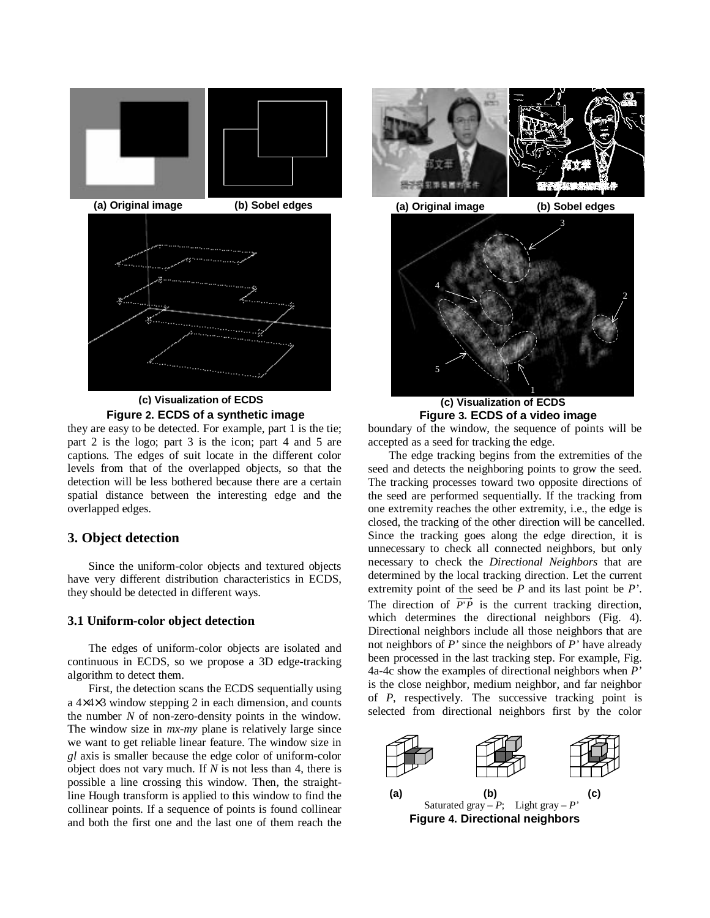

**Figure 2. ECDS of a synthetic image**

they are easy to be detected. For example, part 1 is the tie; part 2 is the logo; part 3 is the icon; part 4 and 5 are captions. The edges of suit locate in the different color levels from that of the overlapped objects, so that the detection will be less bothered because there are a certain spatial distance between the interesting edge and the overlapped edges.

### **3. Object detection**

Since the uniform-color objects and textured objects have very different distribution characteristics in ECDS, they should be detected in different ways.

#### **3.1 Uniform-color object detection**

The edges of uniform-color objects are isolated and continuous in ECDS, so we propose a 3D edge-tracking algorithm to detect them.

First, the detection scans the ECDS sequentially using a 4×4×3 window stepping 2 in each dimension, and counts the number *N* of non-zero-density points in the window. The window size in *mx-my* plane is relatively large since we want to get reliable linear feature. The window size in *gl* axis is smaller because the edge color of uniform-color object does not vary much. If *N* is not less than 4, there is possible a line crossing this window. Then, the straightline Hough transform is applied to this window to find the collinear points. If a sequence of points is found collinear and both the first one and the last one of them reach the



1 **Figure 3. ECDS of a video image (c) Visualization of ECDS**

5

boundary of the window, the sequence of points will be accepted as a seed for tracking the edge.

The edge tracking begins from the extremities of the seed and detects the neighboring points to grow the seed. The tracking processes toward two opposite directions of the seed are performed sequentially. If the tracking from one extremity reaches the other extremity, i.e., the edge is closed, the tracking of the other direction will be cancelled. Since the tracking goes along the edge direction, it is unnecessary to check all connected neighbors, but only necessary to check the *Directional Neighbors* that are determined by the local tracking direction. Let the current extremity point of the seed be *P* and its last point be *P'*. The direction of  $\overrightarrow{P'P}$  is the current tracking direction, which determines the directional neighbors (Fig. 4). Directional neighbors include all those neighbors that are not neighbors of *P'* since the neighbors of *P'* have already been processed in the last tracking step. For example, Fig. 4a-4c show the examples of directional neighbors when *P'* is the close neighbor, medium neighbor, and far neighbor of *P*, respectively. The successive tracking point is selected from directional neighbors first by the color